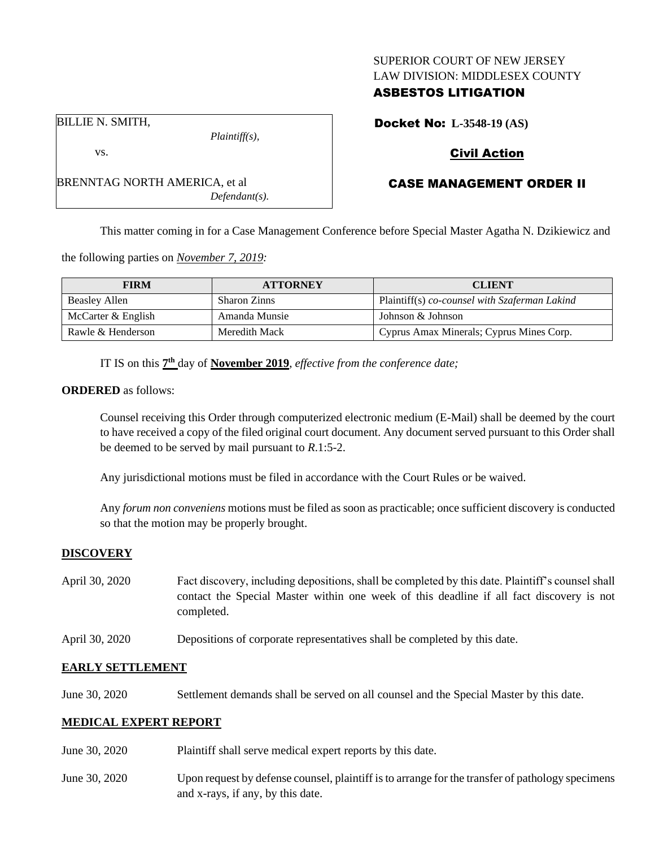### SUPERIOR COURT OF NEW JERSEY LAW DIVISION: MIDDLESEX COUNTY

# ASBESTOS LITIGATION

BILLIE N. SMITH,

vs.

BRENNTAG NORTH AMERICA, et al *Defendant(s).*

*Plaintiff(s),*

Docket No: **L-3548-19 (AS)**

# Civil Action

# CASE MANAGEMENT ORDER II

This matter coming in for a Case Management Conference before Special Master Agatha N. Dzikiewicz and

the following parties on *November 7, 2019:*

| <b>FIRM</b>        | <b>ATTORNEY</b>     | <b>CLIENT</b>                                 |
|--------------------|---------------------|-----------------------------------------------|
| Beasley Allen      | <b>Sharon Zinns</b> | Plaintiff(s) co-counsel with Szaferman Lakind |
| McCarter & English | Amanda Munsie       | Johnson & Johnson                             |
| Rawle & Henderson  | Meredith Mack       | Cyprus Amax Minerals; Cyprus Mines Corp.      |

IT IS on this  $7<sup>th</sup>$  day of **November 2019**, *effective from the conference date*;

#### **ORDERED** as follows:

Counsel receiving this Order through computerized electronic medium (E-Mail) shall be deemed by the court to have received a copy of the filed original court document. Any document served pursuant to this Order shall be deemed to be served by mail pursuant to *R*.1:5-2.

Any jurisdictional motions must be filed in accordance with the Court Rules or be waived.

Any *forum non conveniens* motions must be filed as soon as practicable; once sufficient discovery is conducted so that the motion may be properly brought.

## **DISCOVERY**

| April 30, 2020 | Fact discovery, including depositions, shall be completed by this date. Plaintiff's counsel shall |  |  |
|----------------|---------------------------------------------------------------------------------------------------|--|--|
|                | contact the Special Master within one week of this deadline if all fact discovery is not          |  |  |
|                | completed.                                                                                        |  |  |

April 30, 2020 Depositions of corporate representatives shall be completed by this date.

## **EARLY SETTLEMENT**

June 30, 2020 Settlement demands shall be served on all counsel and the Special Master by this date.

## **MEDICAL EXPERT REPORT**

- June 30, 2020 Plaintiff shall serve medical expert reports by this date.
- June 30, 2020 Upon request by defense counsel, plaintiff is to arrange for the transfer of pathology specimens and x-rays, if any, by this date.